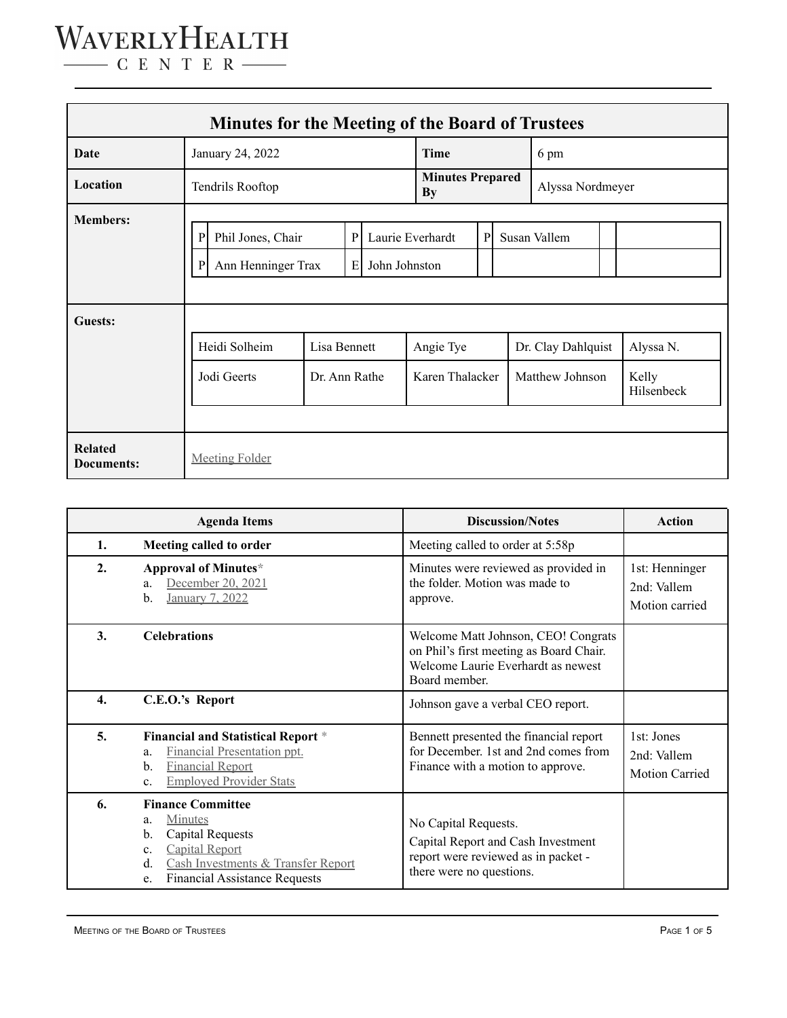| <b>Minutes for the Meeting of the Board of Trustees</b> |                                                                                              |                               |                                   |  |                                      |   |                                       |              |                                  |  |  |
|---------------------------------------------------------|----------------------------------------------------------------------------------------------|-------------------------------|-----------------------------------|--|--------------------------------------|---|---------------------------------------|--------------|----------------------------------|--|--|
| Date                                                    | January 24, 2022                                                                             |                               |                                   |  | Time                                 |   | 6 pm                                  |              |                                  |  |  |
| Location                                                | Tendrils Rooftop                                                                             |                               |                                   |  | <b>Minutes Prepared</b><br><b>By</b> |   | Alyssa Nordmeyer                      |              |                                  |  |  |
| <b>Members:</b>                                         | Phil Jones, Chair<br>$\, {\bf p}$<br>$\mathbf{P}$<br>Ann Henninger Trax<br>Е<br>$\mathbf{P}$ |                               | Laurie Everhardt<br>John Johnston |  |                                      | P |                                       | Susan Vallem |                                  |  |  |
| Guests:                                                 | Heidi Solheim<br>Jodi Geerts                                                                 | Lisa Bennett<br>Dr. Ann Rathe |                                   |  | Angie Tye<br>Karen Thalacker         |   | Dr. Clay Dahlquist<br>Matthew Johnson |              | Alyssa N.<br>Kelly<br>Hilsenbeck |  |  |
| <b>Related</b><br>Documents:                            | <b>Meeting Folder</b>                                                                        |                               |                                   |  |                                      |   |                                       |              |                                  |  |  |

| <b>Agenda Items</b> |                                                                                                                                                                                                                 | <b>Discussion/Notes</b>                                                                                                               | <b>Action</b>                                      |
|---------------------|-----------------------------------------------------------------------------------------------------------------------------------------------------------------------------------------------------------------|---------------------------------------------------------------------------------------------------------------------------------------|----------------------------------------------------|
| 1.                  | Meeting called to order                                                                                                                                                                                         | Meeting called to order at 5:58p                                                                                                      |                                                    |
| 2.                  | Approval of Minutes*<br>December 20, 2021<br>a.<br>January 7, 2022<br>$\mathbf{b}$ .                                                                                                                            | Minutes were reviewed as provided in<br>the folder. Motion was made to<br>approve.                                                    | 1st: Henninger<br>2nd: Vallem<br>Motion carried    |
| 3.                  | <b>Celebrations</b>                                                                                                                                                                                             | Welcome Matt Johnson, CEO! Congrats<br>on Phil's first meeting as Board Chair.<br>Welcome Laurie Everhardt as newest<br>Board member. |                                                    |
| 4.                  | C.E.O.'s Report                                                                                                                                                                                                 | Johnson gave a verbal CEO report.                                                                                                     |                                                    |
| 5.                  | <b>Financial and Statistical Report *</b><br>Financial Presentation ppt.<br>a.<br><b>Financial Report</b><br>$\mathbf{b}$ .<br><b>Employed Provider Stats</b><br>c.                                             | Bennett presented the financial report<br>for December. 1st and 2nd comes from<br>Finance with a motion to approve.                   | 1st: Jones<br>2nd: Vallem<br><b>Motion Carried</b> |
| 6.                  | <b>Finance Committee</b><br><b>Minutes</b><br>a.<br><b>Capital Requests</b><br>b.<br>Capital Report<br>$\mathbf{c}$ .<br>Cash Investments & Transfer Report<br>d.<br><b>Financial Assistance Requests</b><br>e. | No Capital Requests.<br>Capital Report and Cash Investment<br>report were reviewed as in packet -<br>there were no questions.         |                                                    |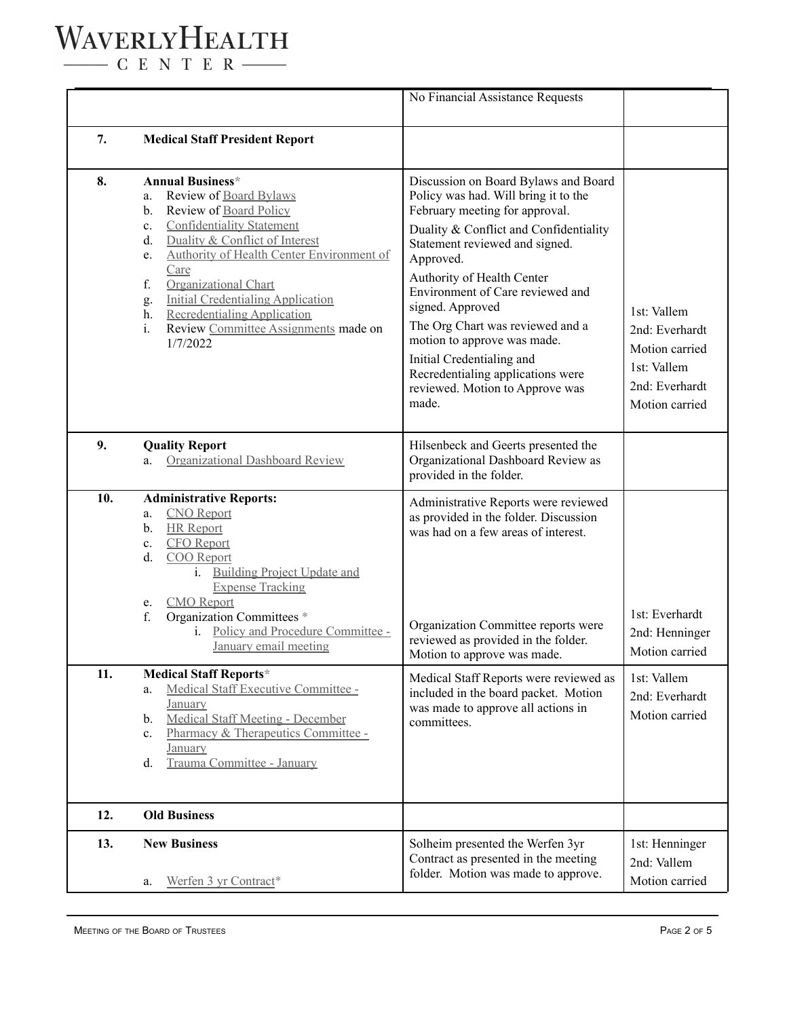$\begin{tabular}{c} \quad \quad \textbf{C} \quad E \quad N \quad T \quad E \quad R \end{tabular}$ 

|     |                                                                                                                                                                                                                                                                                                                                                                                                                     | No Financial Assistance Requests                                                                                                                                                                                                                                                                                                                                                                                                                                               |                                                                                                    |
|-----|---------------------------------------------------------------------------------------------------------------------------------------------------------------------------------------------------------------------------------------------------------------------------------------------------------------------------------------------------------------------------------------------------------------------|--------------------------------------------------------------------------------------------------------------------------------------------------------------------------------------------------------------------------------------------------------------------------------------------------------------------------------------------------------------------------------------------------------------------------------------------------------------------------------|----------------------------------------------------------------------------------------------------|
| 7.  | <b>Medical Staff President Report</b>                                                                                                                                                                                                                                                                                                                                                                               |                                                                                                                                                                                                                                                                                                                                                                                                                                                                                |                                                                                                    |
| 8.  | <b>Annual Business*</b><br>Review of Board Bylaws<br>a.<br>Review of Board Policy<br>b.<br><b>Confidentiality Statement</b><br>c.<br>Duality & Conflict of Interest<br>d.<br>Authority of Health Center Environment of<br>e.<br>Care<br>f.<br>Organizational Chart<br>Initial Credentialing Application<br>g.<br><b>Recredentialing Application</b><br>h.<br>Review Committee Assignments made on<br>i.<br>1/7/2022 | Discussion on Board Bylaws and Board<br>Policy was had. Will bring it to the<br>February meeting for approval.<br>Duality & Conflict and Confidentiality<br>Statement reviewed and signed.<br>Approved.<br>Authority of Health Center<br>Environment of Care reviewed and<br>signed. Approved<br>The Org Chart was reviewed and a<br>motion to approve was made.<br>Initial Credentialing and<br>Recredentialing applications were<br>reviewed. Motion to Approve was<br>made. | 1st: Vallem<br>2nd: Everhardt<br>Motion carried<br>1st: Vallem<br>2nd: Everhardt<br>Motion carried |
| 9.  | <b>Quality Report</b><br>Organizational Dashboard Review<br>a.                                                                                                                                                                                                                                                                                                                                                      | Hilsenbeck and Geerts presented the<br>Organizational Dashboard Review as<br>provided in the folder.                                                                                                                                                                                                                                                                                                                                                                           |                                                                                                    |
| 10. | <b>Administrative Reports:</b><br><b>CNO</b> Report<br>a.<br><b>HR</b> Report<br>b.<br><b>CFO</b> Report<br>$\mathbf{c}$ .<br>COO Report<br>d.<br><b>Building Project Update and</b><br>$i$ .<br><b>Expense Tracking</b><br><b>CMO</b> Report<br>e.<br>Organization Committees *<br>f.<br>Policy and Procedure Committee -<br>1.<br>January email meeting                                                           | Administrative Reports were reviewed<br>as provided in the folder. Discussion<br>was had on a few areas of interest.<br>Organization Committee reports were<br>reviewed as provided in the folder.<br>Motion to approve was made.                                                                                                                                                                                                                                              | 1st: Everhardt<br>2nd: Henninger<br>Motion carried                                                 |
| 11. | <b>Medical Staff Reports*</b><br>Medical Staff Executive Committee -<br>a.<br>January<br><b>Medical Staff Meeting - December</b><br>b.<br>Pharmacy & Therapeutics Committee -<br>$c_{\cdot}$<br><b>January</b><br>Trauma Committee - January<br>d.                                                                                                                                                                  | Medical Staff Reports were reviewed as<br>included in the board packet. Motion<br>was made to approve all actions in<br>committees.                                                                                                                                                                                                                                                                                                                                            | 1st: Vallem<br>2nd: Everhardt<br>Motion carried                                                    |
| 12. | <b>Old Business</b>                                                                                                                                                                                                                                                                                                                                                                                                 |                                                                                                                                                                                                                                                                                                                                                                                                                                                                                |                                                                                                    |
| 13. | <b>New Business</b><br>Werfen 3 yr Contract*<br>a.                                                                                                                                                                                                                                                                                                                                                                  | Solheim presented the Werfen 3yr<br>Contract as presented in the meeting<br>folder. Motion was made to approve.                                                                                                                                                                                                                                                                                                                                                                | 1st: Henninger<br>2nd: Vallem<br>Motion carried                                                    |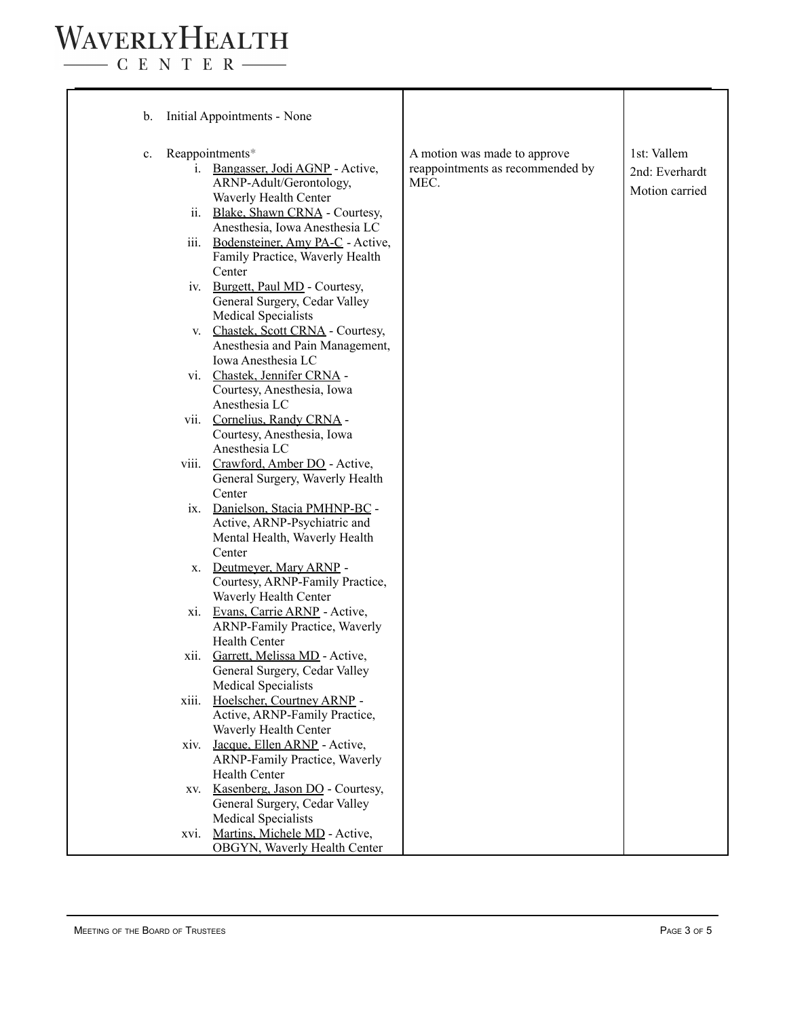$\begin{tabular}{c} \quad \quad \textbf{C} \textbf{E} \textbf{N} \textbf{T} \textbf{E} \textbf{R} \end{tabular}$ 

| Initial Appointments - None<br>b.                                                                                                                                                                                                                                             |                                                                          |                                                 |
|-------------------------------------------------------------------------------------------------------------------------------------------------------------------------------------------------------------------------------------------------------------------------------|--------------------------------------------------------------------------|-------------------------------------------------|
| Reappointments*<br>$\mathbf{c}$ .<br>i. Bangasser, Jodi AGNP - Active,<br>ARNP-Adult/Gerontology,<br>Waverly Health Center<br>ii. Blake, Shawn CRNA - Courtesy,<br>Anesthesia, Iowa Anesthesia LC<br>iii. Bodensteiner, Amy PA-C - Active,<br>Family Practice, Waverly Health | A motion was made to approve<br>reappointments as recommended by<br>MEC. | 1st: Vallem<br>2nd: Everhardt<br>Motion carried |
| Center<br>iv. Burgett, Paul MD - Courtesy,<br>General Surgery, Cedar Valley<br><b>Medical Specialists</b>                                                                                                                                                                     |                                                                          |                                                 |
| Chastek, Scott CRNA - Courtesy,<br>V.<br>Anesthesia and Pain Management,<br>Iowa Anesthesia LC                                                                                                                                                                                |                                                                          |                                                 |
| vi. Chastek, Jennifer CRNA -<br>Courtesy, Anesthesia, Iowa<br>Anesthesia LC                                                                                                                                                                                                   |                                                                          |                                                 |
| vii. Cornelius, Randy CRNA -<br>Courtesy, Anesthesia, Iowa<br>Anesthesia LC                                                                                                                                                                                                   |                                                                          |                                                 |
| viii. Crawford, Amber DO - Active,<br>General Surgery, Waverly Health<br>Center                                                                                                                                                                                               |                                                                          |                                                 |
| ix. Danielson, Stacia PMHNP-BC -<br>Active, ARNP-Psychiatric and<br>Mental Health, Waverly Health<br>Center                                                                                                                                                                   |                                                                          |                                                 |
| x. Deutmeyer, Mary ARNP -<br>Courtesy, ARNP-Family Practice,                                                                                                                                                                                                                  |                                                                          |                                                 |
| Waverly Health Center<br>xi. Evans, Carrie ARNP - Active,<br><b>ARNP-Family Practice, Waverly</b>                                                                                                                                                                             |                                                                          |                                                 |
| <b>Health Center</b><br>Garrett, Melissa MD - Active,<br>X11.<br>General Surgery, Cedar Valley                                                                                                                                                                                |                                                                          |                                                 |
| <b>Medical Specialists</b><br>Hoelscher, Courtney ARNP -<br>xiii.<br>Active, ARNP-Family Practice,                                                                                                                                                                            |                                                                          |                                                 |
| Waverly Health Center<br>Jacque, Ellen ARNP - Active,<br>xiv.<br>ARNP-Family Practice, Waverly                                                                                                                                                                                |                                                                          |                                                 |
| <b>Health Center</b><br>Kasenberg, Jason DO - Courtesy,<br>XV.<br>General Surgery, Cedar Valley                                                                                                                                                                               |                                                                          |                                                 |
| <b>Medical Specialists</b><br>Martins, Michele MD - Active,<br>XVI.<br>OBGYN, Waverly Health Center                                                                                                                                                                           |                                                                          |                                                 |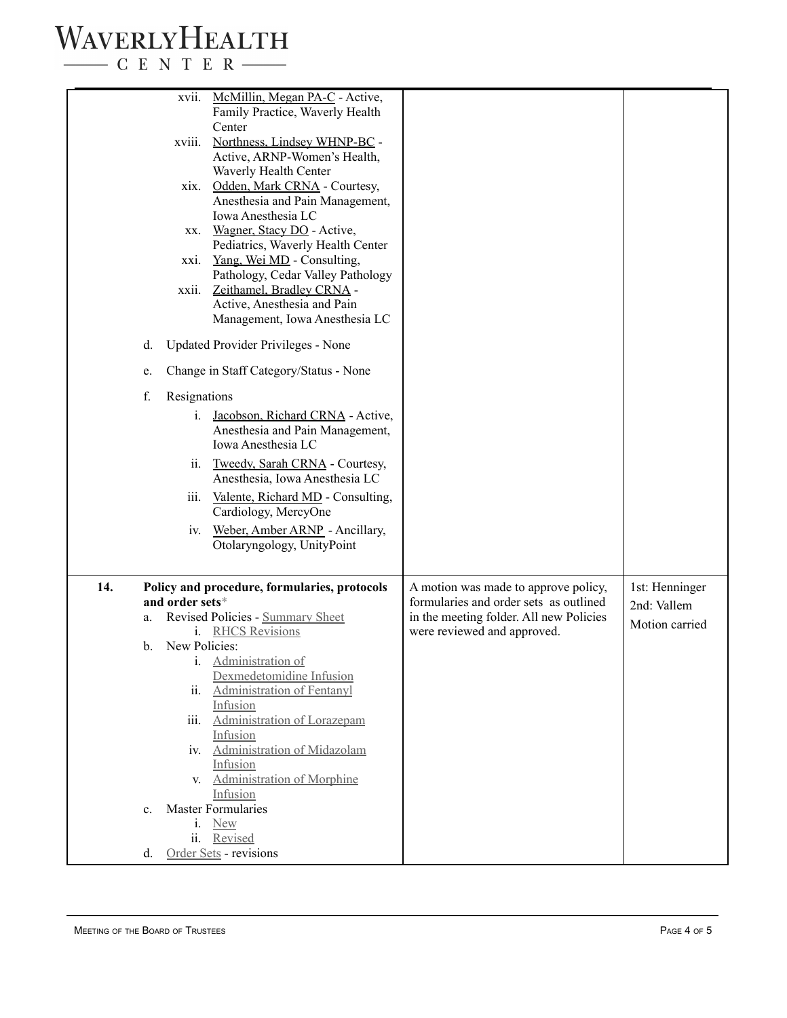$\begin{tabular}{c} \quad \quad \textbf{C} \text{ E} \text{ N} \text{ T} \text{ E} \text{ R} \end{tabular}$ 

| McMillin, Megan PA-C - Active,<br>XVII.<br>Family Practice, Waverly Health<br>Center<br>Northness, Lindsey WHNP-BC -<br>xviii.<br>Active, ARNP-Women's Health,<br>Waverly Health Center<br>Odden, Mark CRNA - Courtesy,<br>xix.<br>Anesthesia and Pain Management,<br>Iowa Anesthesia LC<br>Wagner, Stacy DO - Active,<br>XX.<br>Pediatrics, Waverly Health Center<br><u>Yang, Wei MD</u> - Consulting,<br>XX1.<br>Pathology, Cedar Valley Pathology<br>Zeithamel, Bradley CRNA -<br>xxii.<br>Active, Anesthesia and Pain<br>Management, Iowa Anesthesia LC<br><b>Updated Provider Privileges - None</b><br>d.<br>Change in Staff Category/Status - None<br>e.<br>f.<br>Resignations<br>Jacobson, Richard CRNA - Active,<br>i.<br>Anesthesia and Pain Management,<br>Iowa Anesthesia LC<br>Tweedy, Sarah CRNA - Courtesy,<br>11.<br>Anesthesia, Iowa Anesthesia LC<br>iii.<br>Valente, Richard MD - Consulting,<br>Cardiology, MercyOne<br>Weber, Amber ARNP - Ancillary,<br>IV.<br>Otolaryngology, UnityPoint |                                                                                                                                                          |                                                 |
|----------------------------------------------------------------------------------------------------------------------------------------------------------------------------------------------------------------------------------------------------------------------------------------------------------------------------------------------------------------------------------------------------------------------------------------------------------------------------------------------------------------------------------------------------------------------------------------------------------------------------------------------------------------------------------------------------------------------------------------------------------------------------------------------------------------------------------------------------------------------------------------------------------------------------------------------------------------------------------------------------------------|----------------------------------------------------------------------------------------------------------------------------------------------------------|-------------------------------------------------|
| 14.<br>Policy and procedure, formularies, protocols<br>and order sets*<br>Revised Policies - Summary Sheet<br>a.<br>i. RHCS Revisions<br>New Policies:<br>b.<br>i. Administration of<br>Dexmedetomidine Infusion<br><b>Administration of Fentanyl</b><br>11.<br>Infusion<br>iii. Administration of Lorazepam<br>Infusion<br>iv. Administration of Midazolam<br>Infusion<br>v. Administration of Morphine<br>Infusion<br><b>Master Formularies</b><br>$\mathbf{c}$ .<br>i. New<br>ii. Revised<br>Order Sets - revisions<br>d.                                                                                                                                                                                                                                                                                                                                                                                                                                                                                   | A motion was made to approve policy,<br>formularies and order sets as outlined<br>in the meeting folder. All new Policies<br>were reviewed and approved. | 1st: Henninger<br>2nd: Vallem<br>Motion carried |